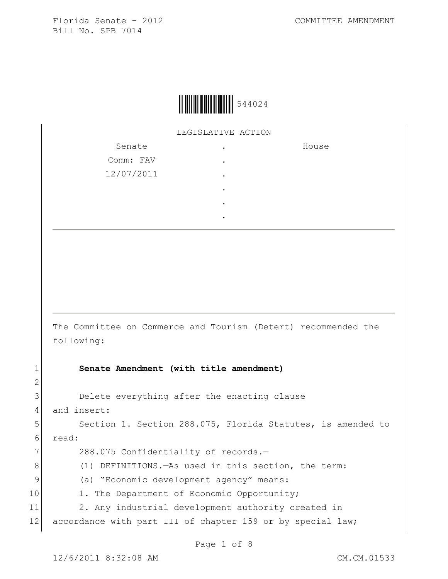

LEGISLATIVE ACTION

| Senate     |   | House |
|------------|---|-------|
| Comm: FAV  | ٠ |       |
| 12/07/2011 | ٠ |       |
|            | ٠ |       |
|            | ٠ |       |
|            | ٠ |       |

The Committee on Commerce and Tourism (Detert) recommended the following:

## 1 **Senate Amendment (with title amendment)**

3 Delete everything after the enacting clause

4 and insert:

2

5 Section 1. Section 288.075, Florida Statutes, is amended to 6 read:

7 288.075 Confidentiality of records.-

8 (1) DEFINITIONS.—As used in this section, the term:

9 (a) "Economic development agency" means:

10 1. The Department of Economic Opportunity;

11 2. Any industrial development authority created in

12 accordance with part III of chapter 159 or by special law;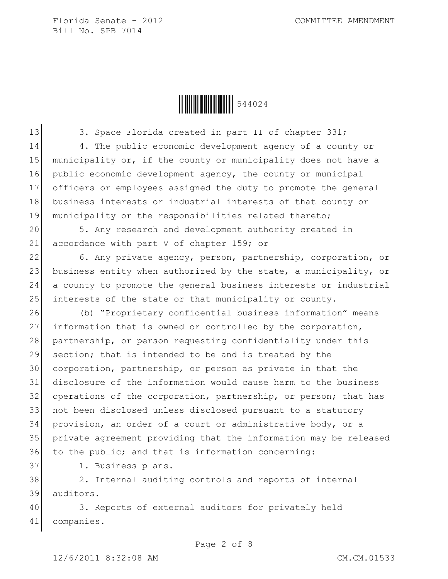Ì544024wÎ544024

13 3. Space Florida created in part II of chapter 331; 14 4. The public economic development agency of a county or 15 municipality or, if the county or municipality does not have a 16 public economic development agency, the county or municipal 17 officers or employees assigned the duty to promote the general 18 business interests or industrial interests of that county or 19 municipality or the responsibilities related thereto;

20 5. Any research and development authority created in 21 accordance with part V of chapter 159; or

22 6. Any private agency, person, partnership, corporation, or 23 business entity when authorized by the state, a municipality, or 24 a county to promote the general business interests or industrial 25 interests of the state or that municipality or county.

 (b) "Proprietary confidential business information" means 27 information that is owned or controlled by the corporation, 28 partnership, or person requesting confidentiality under this 29 section; that is intended to be and is treated by the corporation, partnership, or person as private in that the disclosure of the information would cause harm to the business operations of the corporation, partnership, or person; that has 33 not been disclosed unless disclosed pursuant to a statutory provision, an order of a court or administrative body, or a private agreement providing that the information may be released to the public; and that is information concerning:

37 1. Business plans.

38 2. Internal auditing controls and reports of internal 39 auditors.

40 3. Reports of external auditors for privately held 41 companies.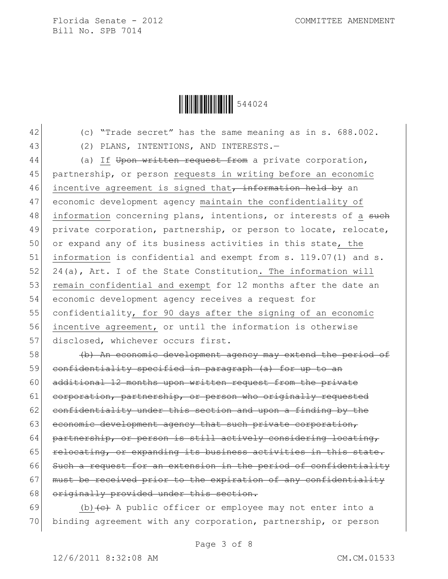

- 
- 

42 (c) "Trade secret" has the same meaning as in s. 688.002.

43 (2) PLANS, INTENTIONS, AND INTERESTS.

44 (a) If Upon written request from a private corporation, 45 partnership, or person requests in writing before an economic 46 incentive agreement is signed that, information held by an 47 economic development agency maintain the confidentiality of 48 information concerning plans, intentions, or interests of a such 49 private corporation, partnership, or person to locate, relocate, 50 or expand any of its business activities in this state, the 51 information is confidential and exempt from s. 119.07(1) and s. 52 24(a), Art. I of the State Constitution. The information will 53 remain confidential and exempt for 12 months after the date an 54 economic development agency receives a request for 55 confidentiality, for 90 days after the signing of an economic 56 incentive agreement, or until the information is otherwise 57 disclosed, whichever occurs first.

58 (b) An economic development agency may extend the period of 59 confidentiality specified in paragraph (a) for up to an 60 additional 12 months upon written request from the private 61 corporation, partnership, or person who originally requested  $62$  confidentiality under this section and upon a finding by the 63 economic development agency that such private corporation, 64 partnership, or person is still actively considering locating, 65 relocating, or expanding its business activities in this state. 66 Such a request for an extension in the period of confidentiality 67 must be received prior to the expiration of any confidentiality 68 originally provided under this section.

69 (b)  $\left( e \right)$  A public officer or employee may not enter into a 70 binding agreement with any corporation, partnership, or person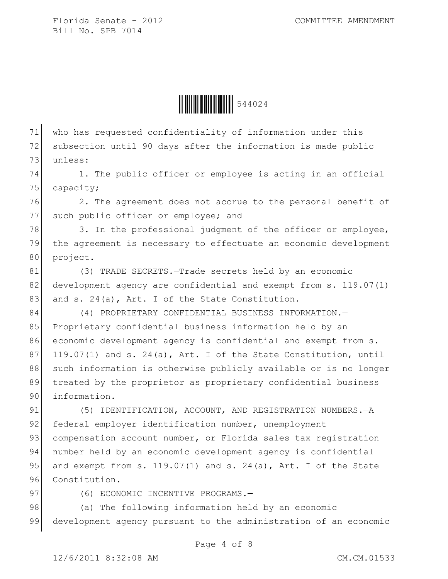

71 who has requested confidentiality of information under this 72 subsection until 90 days after the information is made public 73 unless:

74 1. The public officer or employee is acting in an official 75 capacity;

76 2. The agreement does not accrue to the personal benefit of 77 such public officer or employee; and

78 3. In the professional judgment of the officer or employee, 79 the agreement is necessary to effectuate an economic development 80 project.

81 (3) TRADE SECRETS. - Trade secrets held by an economic 82 development agency are confidential and exempt from s. 119.07(1) 83 and s. 24(a), Art. I of the State Constitution.

84 (4) PROPRIETARY CONFIDENTIAL BUSINESS INFORMATION. 85 Proprietary confidential business information held by an 86 economic development agency is confidential and exempt from s. 87 119.07(1) and s. 24(a), Art. I of the State Constitution, until 88 such information is otherwise publicly available or is no longer 89 treated by the proprietor as proprietary confidential business 90 information.

91 (5) IDENTIFICATION, ACCOUNT, AND REGISTRATION NUMBERS. - A 92 federal employer identification number, unemployment 93 compensation account number, or Florida sales tax registration 94 | number held by an economic development agency is confidential 95 and exempt from s.  $119.07(1)$  and s.  $24(a)$ , Art. I of the State 96 Constitution.

97 (6) ECONOMIC INCENTIVE PROGRAMS.

98 (a) The following information held by an economic 99 development agency pursuant to the administration of an economic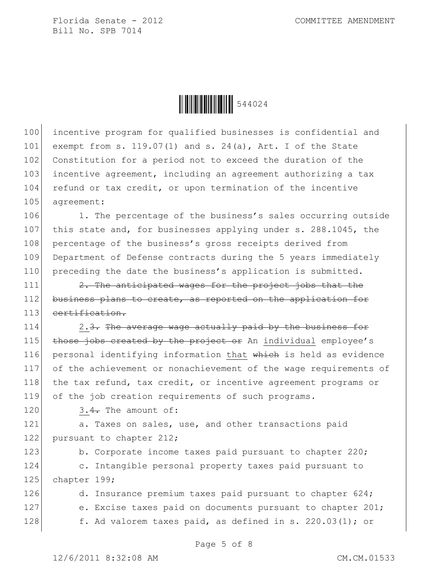

100 incentive program for qualified businesses is confidential and 101 exempt from s. 119.07(1) and s. 24(a), Art. I of the State 102 Constitution for a period not to exceed the duration of the 103 incentive agreement, including an agreement authorizing a tax 104 refund or tax credit, or upon termination of the incentive 105 agreement:

106 1. The percentage of the business's sales occurring outside 107 this state and, for businesses applying under s. 288.1045, the 108 percentage of the business's gross receipts derived from 109 Department of Defense contracts during the 5 years immediately 110 preceding the date the business's application is submitted.

 $111$  2. The anticipated wages for the project jobs that the 112 business plans to create, as reported on the application for 113 certification.

 $\vert$  2.3. The average wage actually paid by the business for  $\overline{t}$  those jobs created by the project or An individual employee's 116 personal identifying information that which is held as evidence of the achievement or nonachievement of the wage requirements of 118 the tax refund, tax credit, or incentive agreement programs or of the job creation requirements of such programs.

120  $3.4$ . The amount of:

121 a. Taxes on sales, use, and other transactions paid 122 pursuant to chapter 212;

123 b. Corporate income taxes paid pursuant to chapter 220; 124 c. Intangible personal property taxes paid pursuant to 125 chapter 199;

126 d. Insurance premium taxes paid pursuant to chapter 624; 127 e. Excise taxes paid on documents pursuant to chapter 201; 128 f. Ad valorem taxes paid, as defined in s. 220.03(1); or

Page 5 of 8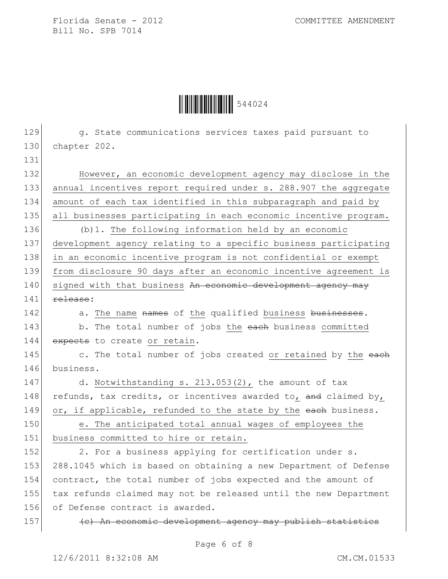Ì544024wÎ544024

129 g. State communications services taxes paid pursuant to 130 chapter 202. 131 132 However, an economic development agency may disclose in the 133 annual incentives report required under s. 288.907 the aggregate 134 amount of each tax identified in this subparagraph and paid by 135 all businesses participating in each economic incentive program. 136 (b)1. The following information held by an economic 137 development agency relating to a specific business participating 138 in an economic incentive program is not confidential or exempt 139 from disclosure 90 days after an economic incentive agreement is 140 signed with that business An economic development agency may  $141$  release: 142 a. The name names of the qualified business businesses. 143 b. The total number of jobs the each business committed 144 expects to create or retain. 145 c. The total number of jobs created or retained by the each 146 business. 147 d. Notwithstanding s. 213.053(2), the amount of tax 148 refunds, tax credits, or incentives awarded to, and claimed by, 149 or, if applicable, refunded to the state by the each business. 150 e. The anticipated total annual wages of employees the 151 business committed to hire or retain. 152 2. For a business applying for certification under s. 153 288.1045 which is based on obtaining a new Department of Defense 154 contract, the total number of jobs expected and the amount of 155 tax refunds claimed may not be released until the new Department 156 of Defense contract is awarded. 157 (c) An economic development agency may publish statistics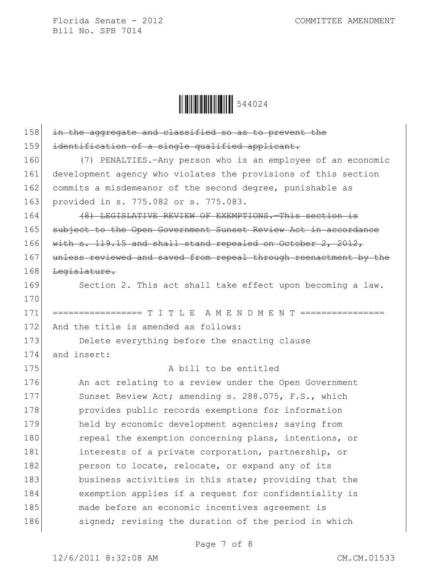

| 158 | in the aggregate and classified so as to prevent the             |
|-----|------------------------------------------------------------------|
| 159 | identification of a single qualified applicant.                  |
| 160 | (7) PENALTIES. - Any person who is an employee of an economic    |
| 161 | development agency who violates the provisions of this section   |
| 162 | commits a misdemeanor of the second degree, punishable as        |
| 163 | provided in s. 775.082 or s. 775.083.                            |
| 164 | (8) LEGISLATIVE REVIEW OF EXEMPTIONS. This section is            |
| 165 | subject to the Open Government Sunset Review Act in accordance   |
| 166 | with $s. 119.15$ and shall stand repealed on October 2, 2012,    |
| 167 | unless reviewed and saved from repeal through reenactment by the |
| 168 | Legislature.                                                     |
| 169 | Section 2. This act shall take effect upon becoming a law.       |
| 170 |                                                                  |
| 171 |                                                                  |
| 172 | And the title is amended as follows:                             |
| 173 | Delete everything before the enacting clause                     |
| 174 | and insert:                                                      |
| 175 | A bill to be entitled                                            |
| 176 | An act relating to a review under the Open Government            |
| 177 | Sunset Review Act; amending s. 288.075, F.S., which              |
| 178 | provides public records exemptions for information               |
| 179 | held by economic development agencies; saving from               |
| 180 | repeal the exemption concerning plans, intentions, or            |
| 181 | interests of a private corporation, partnership, or              |
| 182 | person to locate, relocate, or expand any of its                 |
| 183 | business activities in this state; providing that the            |
| 184 | exemption applies if a request for confidentiality is            |
| 185 | made before an economic incentives agreement is                  |
| 186 | signed; revising the duration of the period in which             |
|     |                                                                  |

Page 7 of 8